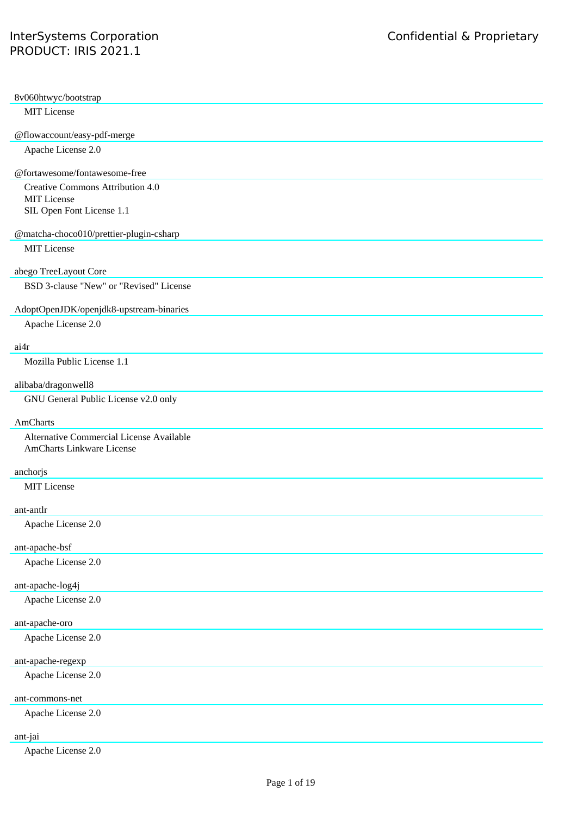| Third Party Licenses Grouped by Relevance                     |
|---------------------------------------------------------------|
|                                                               |
| 8v060htwyc/bootstrap                                          |
| <b>MIT</b> License                                            |
| @flowaccount/easy-pdf-merge                                   |
| Apache License 2.0                                            |
| @fortawesome/fontawesome-free                                 |
| Creative Commons Attribution 4.0<br><b>MIT</b> License        |
| SIL Open Font License 1.1                                     |
|                                                               |
| @matcha-choco010/prettier-plugin-csharp<br><b>MIT</b> License |
|                                                               |
| abego TreeLayout Core                                         |
| BSD 3-clause "New" or "Revised" License                       |
| AdoptOpenJDK/openjdk8-upstream-binaries                       |
| Apache License 2.0                                            |
| ai4r                                                          |
| Mozilla Public License 1.1                                    |
| alibaba/dragonwell8                                           |
| GNU General Public License v2.0 only                          |
| <b>AmCharts</b>                                               |
| Alternative Commercial License Available                      |
| AmCharts Linkware License                                     |
| anchorjs                                                      |
| <b>MIT License</b>                                            |
| ant-antlr                                                     |
| Apache License 2.0                                            |
| ant-apache-bsf                                                |
| Apache License 2.0                                            |
| ant-apache-log4j                                              |
| Apache License 2.0                                            |
| ant-apache-oro                                                |
| Apache License 2.0                                            |
|                                                               |
| ant-apache-regexp<br>Apache License 2.0                       |
|                                                               |
| ant-commons-net                                               |
| Apache License 2.0                                            |

## ant-jai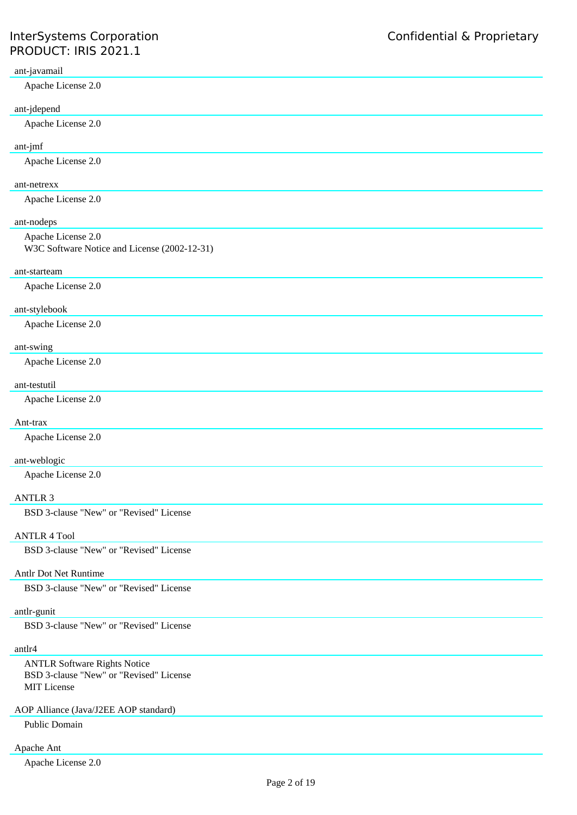### ant-javamail

Apache License 2.0

## ant-jdepend

Apache License 2.0

## ant-jmf

Apache License 2.0

## ant-netrexx

Apache License 2.0

## ant-nodeps

Apache License 2.0 W3C Software Notice and License (2002-12-31)

#### ant-starteam

Apache License 2.0

#### ant-stylebook

Apache License 2.0

## ant-swing

Apache License 2.0

#### ant-testutil

Apache License 2.0

## Ant-trax

Apache License 2.0

## ant-weblogic

Apache License 2.0

## ANTLR 3

BSD 3-clause "New" or "Revised" License

## ANTLR 4 Tool

BSD 3-clause "New" or "Revised" License

## Antlr Dot Net Runtime

BSD 3-clause "New" or "Revised" License

#### antlr-gunit

BSD 3-clause "New" or "Revised" License

#### antlr4

ANTLR Software Rights Notice BSD 3-clause "New" or "Revised" License MIT License

## AOP Alliance (Java/J2EE AOP standard)

Public Domain

# Apache Ant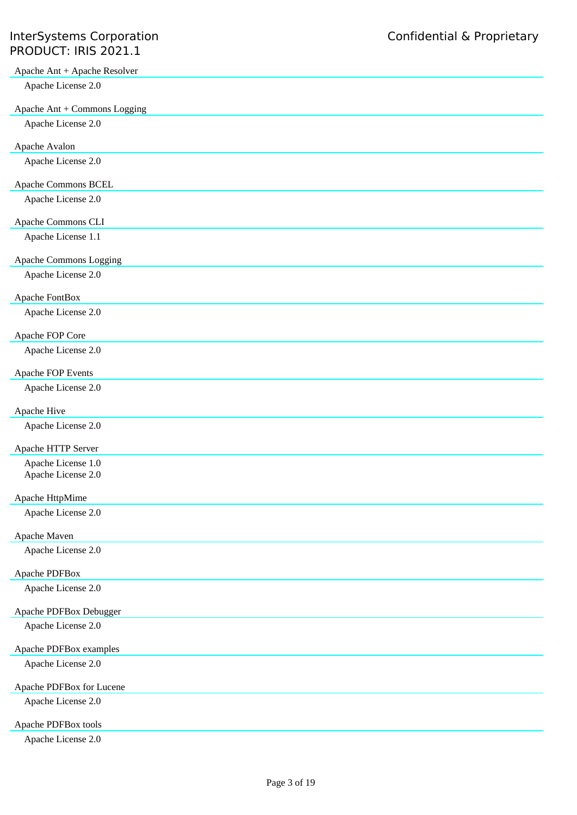| Apache Ant + Apache Resolver             |
|------------------------------------------|
| Apache License 2.0                       |
| Apache Ant + Commons Logging             |
| Apache License 2.0                       |
|                                          |
| Apache Avalon                            |
| Apache License 2.0                       |
| Apache Commons BCEL                      |
| Apache License 2.0                       |
| Apache Commons CLI                       |
| Apache License 1.1                       |
| Apache Commons Logging                   |
| Apache License 2.0                       |
|                                          |
| Apache FontBox<br>Apache License 2.0     |
|                                          |
| Apache FOP Core                          |
| Apache License 2.0                       |
| Apache FOP Events                        |
| Apache License 2.0                       |
| Apache Hive                              |
| Apache License 2.0                       |
|                                          |
| Apache HTTP Server<br>Apache License 1.0 |
| Apache License 2.0                       |
| Apache HttpMime                          |
| Apache License 2.0                       |
|                                          |
| Apache Maven                             |
| Apache License 2.0                       |
| Apache PDFBox                            |
| Apache License 2.0                       |
| Apache PDFBox Debugger                   |
| Apache License 2.0                       |
| Apache PDFBox examples                   |
| Apache License 2.0                       |
|                                          |
| Apache PDFBox for Lucene                 |
| Apache License 2.0                       |
| Apache PDFBox tools                      |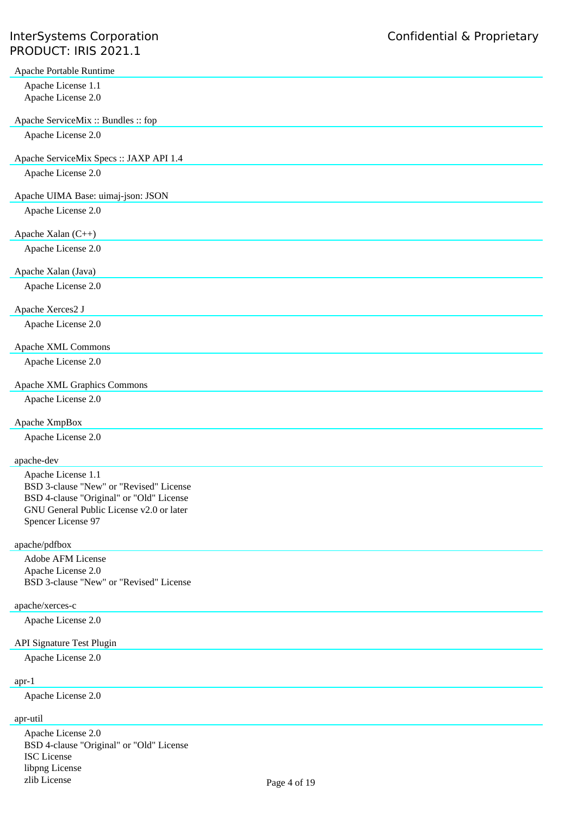# InterSystems Corporation **Confidential & Proprietary** PRODUCT: IRIS 2021.1

| Apache Portable Runtime                                                              |
|--------------------------------------------------------------------------------------|
| Apache License 1.1                                                                   |
| Apache License 2.0                                                                   |
|                                                                                      |
| Apache ServiceMix: Bundles: fop                                                      |
| Apache License 2.0                                                                   |
| Apache ServiceMix Specs: JAXP API 1.4                                                |
| Apache License 2.0                                                                   |
|                                                                                      |
| Apache UIMA Base: uimaj-json: JSON                                                   |
| Apache License 2.0                                                                   |
|                                                                                      |
| Apache Xalan (C++)                                                                   |
| Apache License 2.0                                                                   |
|                                                                                      |
| Apache Xalan (Java)                                                                  |
| Apache License 2.0                                                                   |
|                                                                                      |
| Apache Xerces2 J                                                                     |
| Apache License 2.0                                                                   |
| Apache XML Commons                                                                   |
| Apache License 2.0                                                                   |
|                                                                                      |
| Apache XML Graphics Commons                                                          |
| Apache License 2.0                                                                   |
|                                                                                      |
| Apache XmpBox                                                                        |
| Apache License 2.0                                                                   |
|                                                                                      |
| apache-dev                                                                           |
| Apache License 1.1                                                                   |
| BSD 3-clause "New" or "Revised" License                                              |
| BSD 4-clause "Original" or "Old" License<br>GNU General Public License v2.0 or later |
| Spencer License 97                                                                   |
|                                                                                      |
| apache/pdfbox                                                                        |
| Adobe AFM License                                                                    |
| Apache License 2.0                                                                   |
| BSD 3-clause "New" or "Revised" License                                              |
|                                                                                      |
| apache/xerces-c                                                                      |
| Apache License 2.0                                                                   |
| API Signature Test Plugin                                                            |
| Apache License 2.0                                                                   |
|                                                                                      |
| $apr-1$                                                                              |
| Apache License 2.0                                                                   |
|                                                                                      |
| apr-util                                                                             |

Apache License 2.0 BSD 4-clause "Original" or "Old" License ISC License libpng License zlib License Page 4 of 19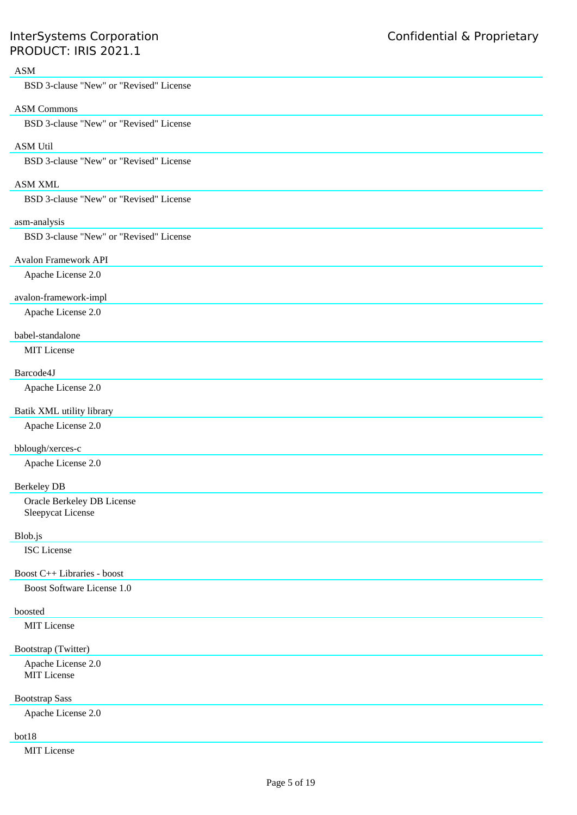# ASM

BSD 3-clause "New" or "Revised" License

## ASM Commons

BSD 3-clause "New" or "Revised" License

## ASM Util

BSD 3-clause "New" or "Revised" License

## ASM XML

BSD 3-clause "New" or "Revised" License

## asm-analysis

BSD 3-clause "New" or "Revised" License

#### Avalon Framework API

Apache License 2.0

#### avalon-framework-impl

Apache License 2.0

## babel-standalone

MIT License

## Barcode4J

Apache License 2.0

## Batik XML utility library

Apache License 2.0

## bblough/xerces-c

Apache License 2.0

## Berkeley DB

Oracle Berkeley DB License Sleepycat License

#### Blob.js

ISC License

#### Boost C++ Libraries - boost

Boost Software License 1.0

# boosted

MIT License

# Bootstrap (Twitter)

Apache License 2.0 MIT License

# Bootstrap Sass

Apache License 2.0

# bot18

MIT License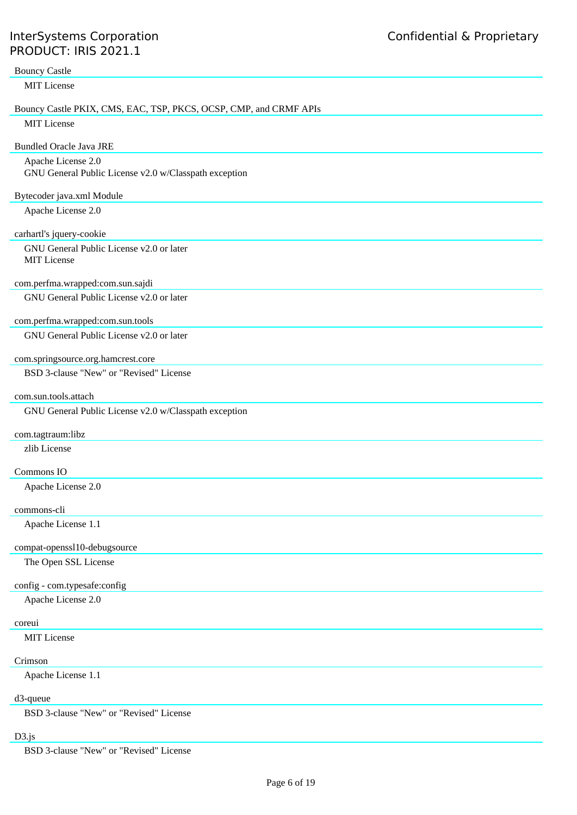| <b>Bouncy Castle</b>                                              |
|-------------------------------------------------------------------|
| MIT License                                                       |
| Bouncy Castle PKIX, CMS, EAC, TSP, PKCS, OCSP, CMP, and CRMF APIs |
| <b>MIT License</b>                                                |
| <b>Bundled Oracle Java JRE</b>                                    |
| Apache License 2.0                                                |
| GNU General Public License v2.0 w/Classpath exception             |
| Bytecoder java.xml Module                                         |
| Apache License 2.0                                                |
| carhartl's jquery-cookie                                          |
| GNU General Public License v2.0 or later                          |
| <b>MIT</b> License                                                |
| com.perfma.wrapped:com.sun.sajdi                                  |
| GNU General Public License v2.0 or later                          |
| com.perfma.wrapped:com.sun.tools                                  |
| GNU General Public License v2.0 or later                          |
|                                                                   |
| com.springsource.org.hamcrest.core                                |
| BSD 3-clause "New" or "Revised" License                           |
| com.sun.tools.attach                                              |
| GNU General Public License v2.0 w/Classpath exception             |
| com.tagtraum:libz                                                 |
| zlib License                                                      |
| Commons IO                                                        |
| Apache License 2.0                                                |
|                                                                   |
| commons-cli<br>Apache License 1.1                                 |
|                                                                   |
| compat-openssl10-debugsource                                      |
| The Open SSL License                                              |
| config - com.typesafe:config                                      |
| Apache License 2.0                                                |
| coreui                                                            |
| MIT License                                                       |
| Crimson                                                           |
| Apache License 1.1                                                |
| d3-queue                                                          |
| BSD 3-clause "New" or "Revised" License                           |
|                                                                   |

# D3.js

BSD 3-clause "New" or "Revised" License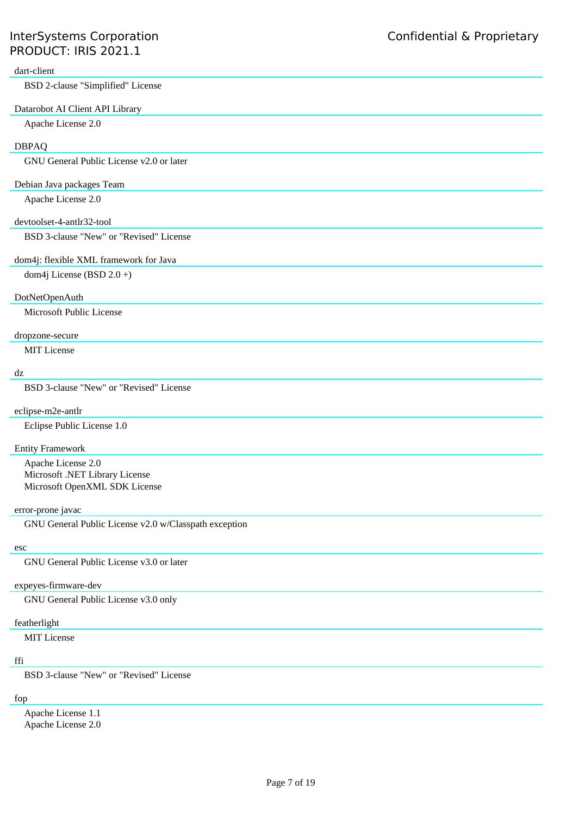## dart-client

BSD 2-clause "Simplified" License

## Datarobot AI Client API Library

Apache License 2.0

## DBPAQ

GNU General Public License v2.0 or later

## Debian Java packages Team

Apache License 2.0

#### devtoolset-4-antlr32-tool

BSD 3-clause "New" or "Revised" License

### dom4j: flexible XML framework for Java

dom4j License (BSD 2.0 +)

## DotNetOpenAuth

Microsoft Public License

#### dropzone-secure

MIT License

## dz

BSD 3-clause "New" or "Revised" License

## eclipse-m2e-antlr

Eclipse Public License 1.0

## Entity Framework

Apache License 2.0 Microsoft .NET Library License Microsoft OpenXML SDK License

#### error-prone javac

GNU General Public License v2.0 w/Classpath exception

#### esc

GNU General Public License v3.0 or later

## expeyes-firmware-dev

GNU General Public License v3.0 only

## featherlight

MIT License

## ffi

BSD 3-clause "New" or "Revised" License

## fop

Apache License 1.1 Apache License 2.0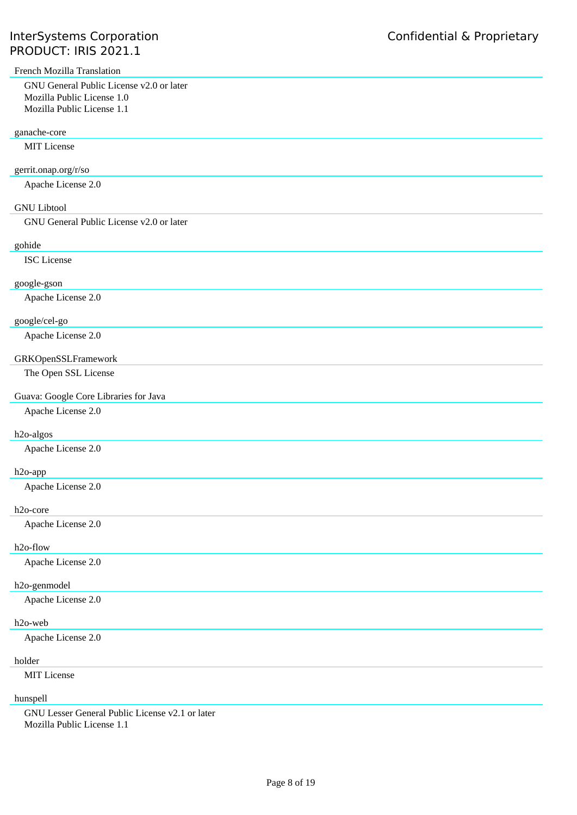| French Mozilla Translation               |
|------------------------------------------|
| GNU General Public License v2.0 or later |
| Mozilla Public License 1.0               |
| Mozilla Public License 1.1               |
| ganache-core                             |
| MIT License                              |
| gerrit.onap.org/r/so                     |
| Apache License 2.0                       |
|                                          |
| <b>GNU Libtool</b>                       |
| GNU General Public License v2.0 or later |
| gohide                                   |
| <b>ISC</b> License                       |
| google-gson                              |
| Apache License 2.0                       |
|                                          |
| google/cel-go                            |
| Apache License 2.0                       |
| GRKOpenSSLFramework                      |
| The Open SSL License                     |
| Guava: Google Core Libraries for Java    |
| Apache License 2.0                       |
|                                          |
| h <sub>2o-algos</sub>                    |
| Apache License 2.0                       |
| h <sub>2o-app</sub>                      |
| Apache License 2.0                       |
| h <sub>2o-core</sub>                     |
| Apache License 2.0                       |
| h <sub>2o-flow</sub>                     |
| Apache License 2.0                       |
| h <sub>2o-genmodel</sub>                 |
| Apache License 2.0                       |
| h <sub>2o-web</sub>                      |
| Apache License 2.0                       |
|                                          |
| holder                                   |
| MIT License                              |

# hunspell

GNU Lesser General Public License v2.1 or later Mozilla Public License 1.1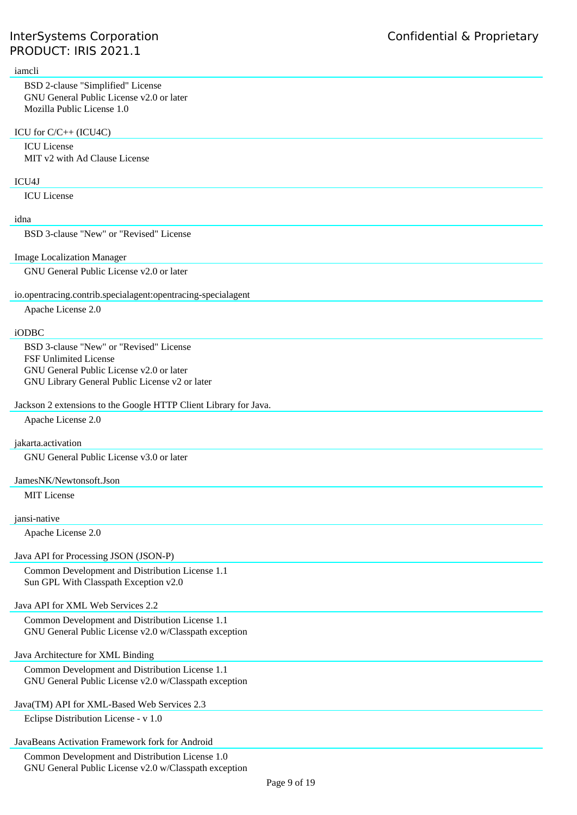#### iamcli

BSD 2-clause "Simplified" License GNU General Public License v2.0 or later Mozilla Public License 1.0

#### ICU for C/C++ (ICU4C)

ICU License MIT v2 with Ad Clause License

#### ICU4J

ICU License

## idna

BSD 3-clause "New" or "Revised" License

#### Image Localization Manager

GNU General Public License v2.0 or later

#### io.opentracing.contrib.specialagent:opentracing-specialagent

Apache License 2.0

#### iODBC

BSD 3-clause "New" or "Revised" License FSF Unlimited License GNU General Public License v2.0 or later GNU Library General Public License v2 or later

## Jackson 2 extensions to the Google HTTP Client Library for Java.

Apache License 2.0

#### jakarta.activation

GNU General Public License v3.0 or later

#### JamesNK/Newtonsoft.Json

MIT License

#### jansi-native

Apache License 2.0

#### Java API for Processing JSON (JSON-P)

Common Development and Distribution License 1.1 Sun GPL With Classpath Exception v2.0

## Java API for XML Web Services 2.2

Common Development and Distribution License 1.1 GNU General Public License v2.0 w/Classpath exception

#### Java Architecture for XML Binding

Common Development and Distribution License 1.1 GNU General Public License v2.0 w/Classpath exception

## Java(TM) API for XML-Based Web Services 2.3

Eclipse Distribution License - v 1.0

## JavaBeans Activation Framework fork for Android

Common Development and Distribution License 1.0 GNU General Public License v2.0 w/Classpath exception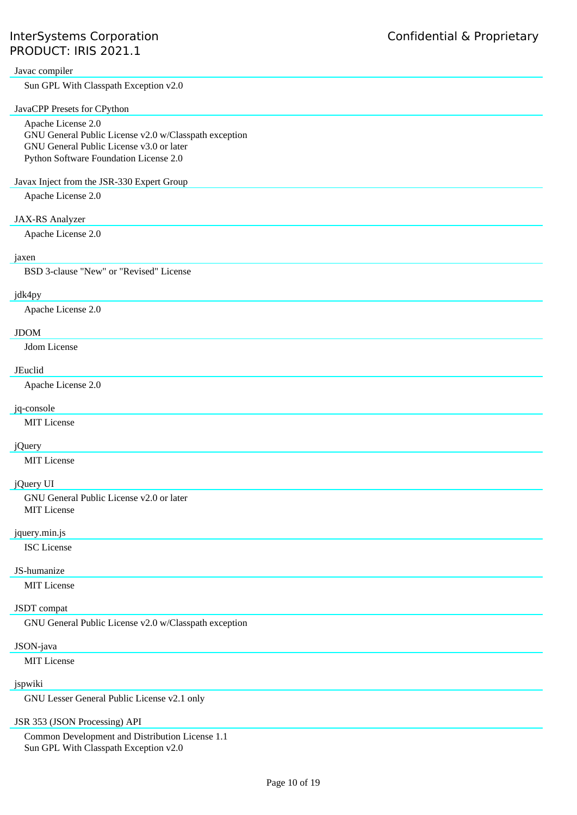#### Javac compiler

Sun GPL With Classpath Exception v2.0

## JavaCPP Presets for CPython

Apache License 2.0 GNU General Public License v2.0 w/Classpath exception GNU General Public License v3.0 or later Python Software Foundation License 2.0

#### Javax Inject from the JSR-330 Expert Group

Apache License 2.0

### JAX-RS Analyzer

Apache License 2.0

## jaxen

BSD 3-clause "New" or "Revised" License

#### jdk4py

Apache License 2.0

## JDOM

Jdom License

#### JEuclid

Apache License 2.0

## jq-console

MIT License

## jQuery

MIT License

# jQuery UI

GNU General Public License v2.0 or later MIT License

## jquery.min.js

ISC License

## JS-humanize

MIT License

#### JSDT compat

GNU General Public License v2.0 w/Classpath exception

#### JSON-java

MIT License

## jspwiki

GNU Lesser General Public License v2.1 only

### JSR 353 (JSON Processing) API

Common Development and Distribution License 1.1 Sun GPL With Classpath Exception v2.0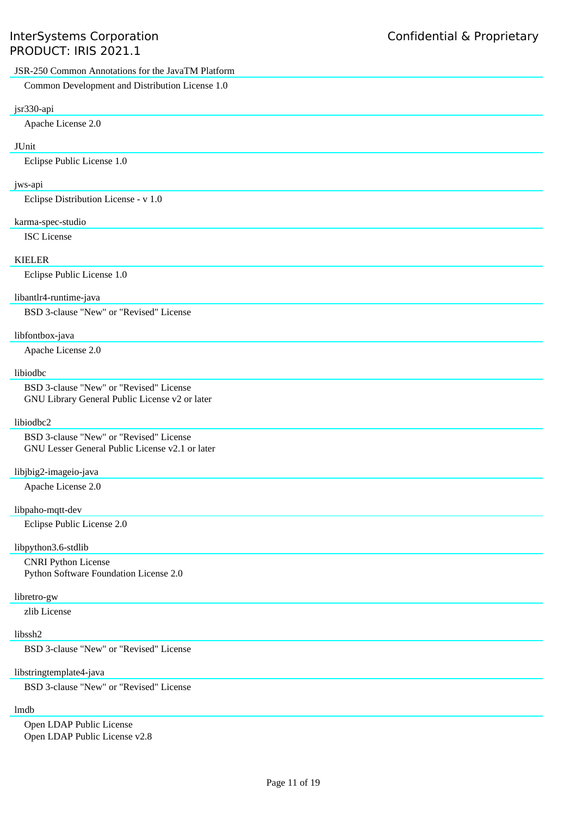# JSR-250 Common Annotations for the JavaTM Platform Common Development and Distribution License 1.0 jsr330-api Apache License 2.0 JUnit Eclipse Public License 1.0 jws-api Eclipse Distribution License - v 1.0 karma-spec-studio ISC License KIELER Eclipse Public License 1.0 libantlr4-runtime-java BSD 3-clause "New" or "Revised" License libfontbox-java Apache License 2.0 libiodbc BSD 3-clause "New" or "Revised" License GNU Library General Public License v2 or later libiodbc2 BSD 3-clause "New" or "Revised" License GNU Lesser General Public License v2.1 or later libjbig2-imageio-java Apache License 2.0 libpaho-mqtt-dev Eclipse Public License 2.0

#### libpython3.6-stdlib

CNRI Python License Python Software Foundation License 2.0

#### libretro-gw

zlib License

#### libssh2

BSD 3-clause "New" or "Revised" License

#### libstringtemplate4-java

BSD 3-clause "New" or "Revised" License

## lmdb

Open LDAP Public License Open LDAP Public License v2.8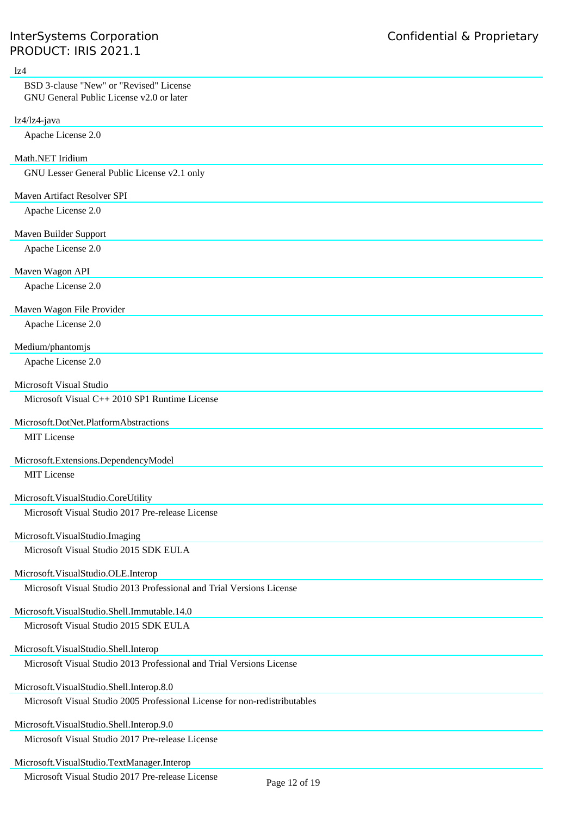| 1z4                                                                                                                    |
|------------------------------------------------------------------------------------------------------------------------|
| BSD 3-clause "New" or "Revised" License<br>GNU General Public License v2.0 or later                                    |
| lz4/lz4-java                                                                                                           |
| Apache License 2.0                                                                                                     |
| Math.NET Iridium                                                                                                       |
| GNU Lesser General Public License v2.1 only                                                                            |
| Maven Artifact Resolver SPI                                                                                            |
| Apache License 2.0                                                                                                     |
| Maven Builder Support                                                                                                  |
| Apache License 2.0                                                                                                     |
| Maven Wagon API                                                                                                        |
| Apache License 2.0                                                                                                     |
| Maven Wagon File Provider                                                                                              |
| Apache License 2.0                                                                                                     |
| Medium/phantomjs                                                                                                       |
| Apache License 2.0                                                                                                     |
| Microsoft Visual Studio                                                                                                |
| Microsoft Visual C++ 2010 SP1 Runtime License                                                                          |
|                                                                                                                        |
| Microsoft.DotNet.PlatformAbstractions<br>MIT License                                                                   |
|                                                                                                                        |
| Microsoft.Extensions.DependencyModel                                                                                   |
| MIT License                                                                                                            |
| Microsoft.VisualStudio.CoreUtility                                                                                     |
| Microsoft Visual Studio 2017 Pre-release License                                                                       |
| Microsoft.VisualStudio.Imaging                                                                                         |
| Microsoft Visual Studio 2015 SDK EULA                                                                                  |
|                                                                                                                        |
| Microsoft.VisualStudio.OLE.Interop                                                                                     |
| Microsoft Visual Studio 2013 Professional and Trial Versions License                                                   |
| Microsoft. VisualStudio. Shell. Immutable. 14.0                                                                        |
| Microsoft Visual Studio 2015 SDK EULA                                                                                  |
| Microsoft.VisualStudio.Shell.Interop                                                                                   |
| Microsoft Visual Studio 2013 Professional and Trial Versions License                                                   |
|                                                                                                                        |
| Microsoft.VisualStudio.Shell.Interop.8.0<br>Microsoft Visual Studio 2005 Professional License for non-redistributables |
|                                                                                                                        |
| Microsoft.VisualStudio.Shell.Interop.9.0                                                                               |
| Microsoft Visual Studio 2017 Pre-release License                                                                       |
| Microsoft. VisualStudio. TextManager. Interop                                                                          |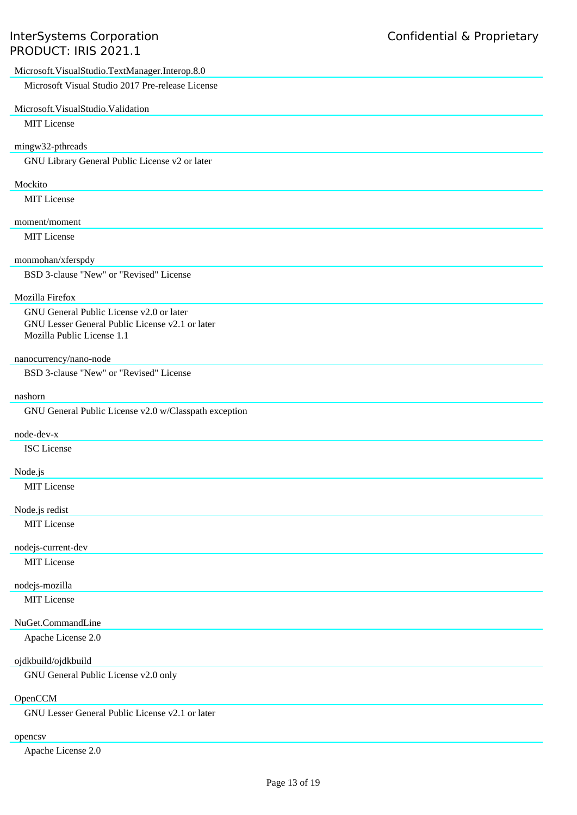| Microsoft.VisualStudio.TextManager.Interop.8.0                                |
|-------------------------------------------------------------------------------|
| Microsoft Visual Studio 2017 Pre-release License                              |
| Microsoft.VisualStudio.Validation                                             |
| MIT License                                                                   |
| mingw32-pthreads                                                              |
| GNU Library General Public License v2 or later                                |
|                                                                               |
| Mockito<br><b>MIT</b> License                                                 |
|                                                                               |
| moment/moment                                                                 |
| <b>MIT</b> License                                                            |
| monmohan/xferspdy                                                             |
| BSD 3-clause "New" or "Revised" License                                       |
| Mozilla Firefox                                                               |
| GNU General Public License v2.0 or later                                      |
| GNU Lesser General Public License v2.1 or later<br>Mozilla Public License 1.1 |
|                                                                               |
| nanocurrency/nano-node                                                        |
| BSD 3-clause "New" or "Revised" License                                       |
| nashorn                                                                       |
| GNU General Public License v2.0 w/Classpath exception                         |
| node-dev-x                                                                    |
| <b>ISC</b> License                                                            |
| Node.js                                                                       |
| MIT License                                                                   |
|                                                                               |
| Node.js redist                                                                |
| MIT License                                                                   |
| nodejs-current-dev                                                            |
| MIT License                                                                   |
| nodejs-mozilla                                                                |
| MIT License                                                                   |
| NuGet.CommandLine                                                             |
| Apache License 2.0                                                            |
| ojdkbuild/ojdkbuild                                                           |
| GNU General Public License v2.0 only                                          |
|                                                                               |
| OpenCCM<br>$GNII$ esser General Public License $v^2$ 1 or later               |

GNU Lesser General Public License v2.1 or later

# opencsv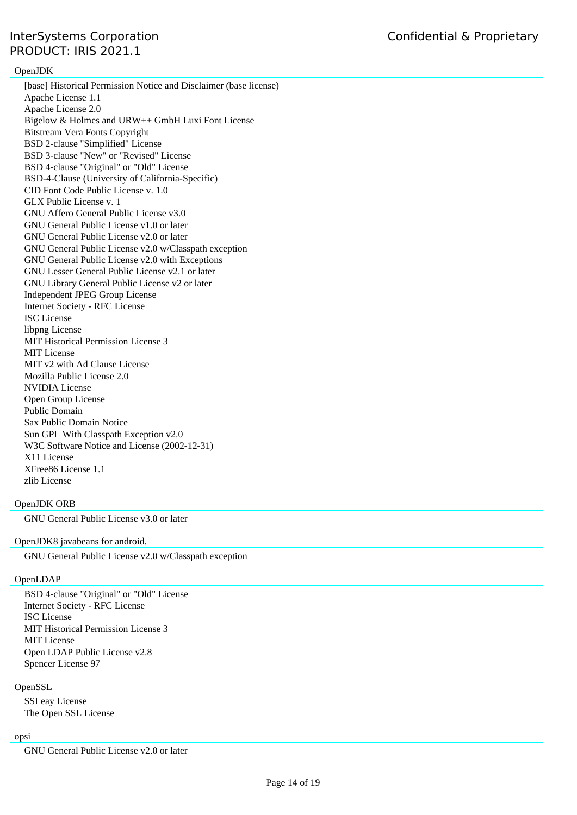## OpenJDK

[base] Historical Permission Notice and Disclaimer (base license) Apache License 1.1 Apache License 2.0 Bigelow & Holmes and URW++ GmbH Luxi Font License Bitstream Vera Fonts Copyright BSD 2-clause "Simplified" License BSD 3-clause "New" or "Revised" License BSD 4-clause "Original" or "Old" License BSD-4-Clause (University of California-Specific) CID Font Code Public License v. 1.0 GLX Public License v. 1 GNU Affero General Public License v3.0 GNU General Public License v1.0 or later GNU General Public License v2.0 or later GNU General Public License v2.0 w/Classpath exception GNU General Public License v2.0 with Exceptions GNU Lesser General Public License v2.1 or later GNU Library General Public License v2 or later Independent JPEG Group License Internet Society - RFC License ISC License libpng License MIT Historical Permission License 3 MIT License MIT v2 with Ad Clause License Mozilla Public License 2.0 NVIDIA License Open Group License Public Domain Sax Public Domain Notice Sun GPL With Classpath Exception v2.0 W3C Software Notice and License (2002-12-31) X11 License XFree86 License 1.1 zlib License

## OpenJDK ORB

GNU General Public License v3.0 or later

#### OpenJDK8 javabeans for android.

GNU General Public License v2.0 w/Classpath exception

## OpenLDAP

BSD 4-clause "Original" or "Old" License Internet Society - RFC License ISC License MIT Historical Permission License 3 MIT License Open LDAP Public License v2.8 Spencer License 97

## **OpenSSL**

SSLeay License The Open SSL License

#### opsi

GNU General Public License v2.0 or later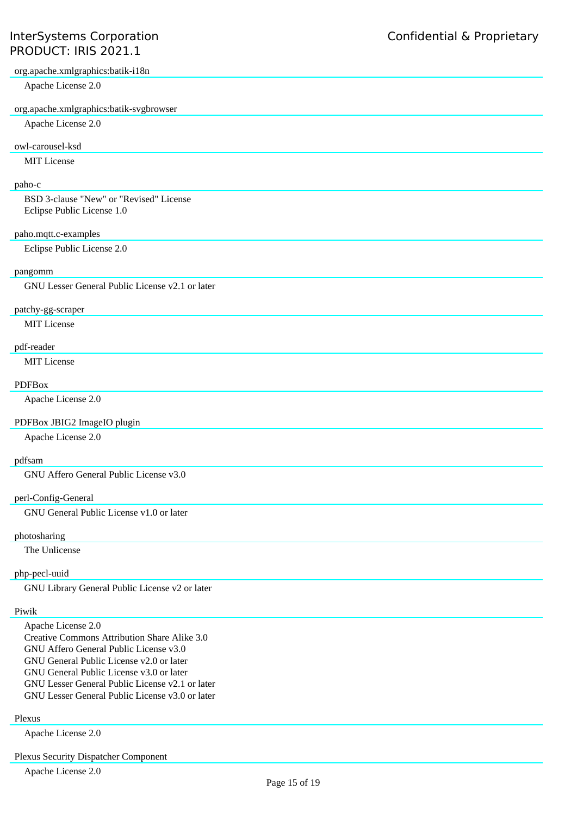org.apache.xmlgraphics:batik-i18n

Apache License 2.0

#### org.apache.xmlgraphics:batik-svgbrowser

Apache License 2.0

## owl-carousel-ksd

MIT License

# paho-c

BSD 3-clause "New" or "Revised" License Eclipse Public License 1.0

## paho.mqtt.c-examples

Eclipse Public License 2.0

## pangomm

GNU Lesser General Public License v2.1 or later

## patchy-gg-scraper

MIT License

#### pdf-reader

MIT License

#### PDFBox

Apache License 2.0

### PDFBox JBIG2 ImageIO plugin

Apache License 2.0

## pdfsam

GNU Affero General Public License v3.0

#### perl-Config-General

GNU General Public License v1.0 or later

## photosharing

The Unlicense

## php-pecl-uuid

GNU Library General Public License v2 or later

## Piwik

Apache License 2.0 Creative Commons Attribution Share Alike 3.0 GNU Affero General Public License v3.0 GNU General Public License v2.0 or later GNU General Public License v3.0 or later GNU Lesser General Public License v2.1 or later GNU Lesser General Public License v3.0 or later

## Plexus

Apache License 2.0

## Plexus Security Dispatcher Component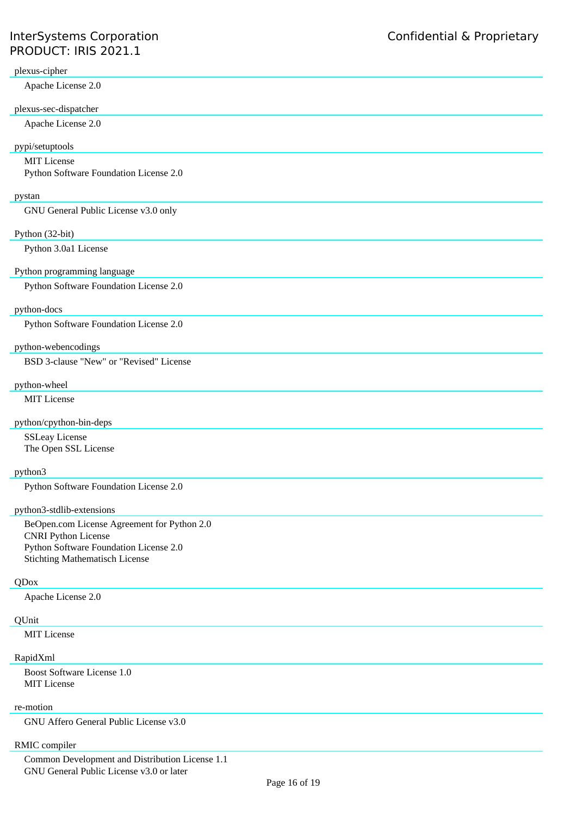## plexus-cipher

Apache License 2.0

## plexus-sec-dispatcher

Apache License 2.0

## pypi/setuptools

MIT License

Python Software Foundation License 2.0

#### pystan

GNU General Public License v3.0 only

#### Python (32-bit)

Python 3.0a1 License

## Python programming language

Python Software Foundation License 2.0

# python-docs

Python Software Foundation License 2.0

## python-webencodings

BSD 3-clause "New" or "Revised" License

## python-wheel

MIT License

## python/cpython-bin-deps

SSLeay License The Open SSL License

# python3

Python Software Foundation License 2.0

## python3-stdlib-extensions

BeOpen.com License Agreement for Python 2.0 CNRI Python License Python Software Foundation License 2.0 Stichting Mathematisch License

#### QDox

Apache License 2.0

#### **OUnit**

MIT License

#### RapidXml

Boost Software License 1.0 MIT License

## re-motion

GNU Affero General Public License v3.0

## RMIC compiler

Common Development and Distribution License 1.1 GNU General Public License v3.0 or later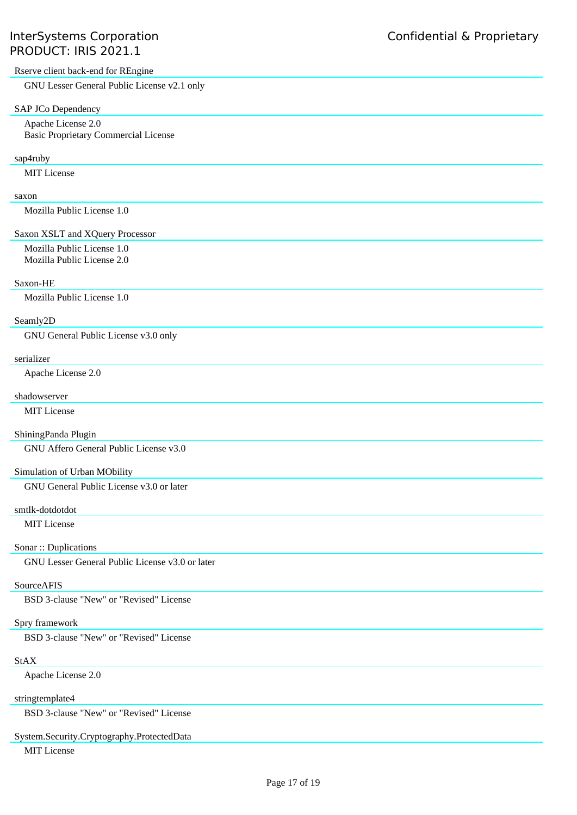## Rserve client back-end for REngine

GNU Lesser General Public License v2.1 only

#### SAP JCo Dependency

Apache License 2.0 Basic Proprietary Commercial License

#### sap4ruby

MIT License

#### saxon

Mozilla Public License 1.0

# Saxon XSLT and XQuery Processor

Mozilla Public License 1.0 Mozilla Public License 2.0

#### Saxon-HE

Mozilla Public License 1.0

#### Seamly2D

GNU General Public License v3.0 only

## serializer

Apache License 2.0

## shadowserver

MIT License

#### ShiningPanda Plugin

GNU Affero General Public License v3.0

#### Simulation of Urban MObility

GNU General Public License v3.0 or later

#### smtlk-dotdotdot

MIT License

#### Sonar :: Duplications

GNU Lesser General Public License v3.0 or later

#### SourceAFIS

BSD 3-clause "New" or "Revised" License

## Spry framework

BSD 3-clause "New" or "Revised" License

## StAX

Apache License 2.0

## stringtemplate4

BSD 3-clause "New" or "Revised" License

## System.Security.Cryptography.ProtectedData

MIT License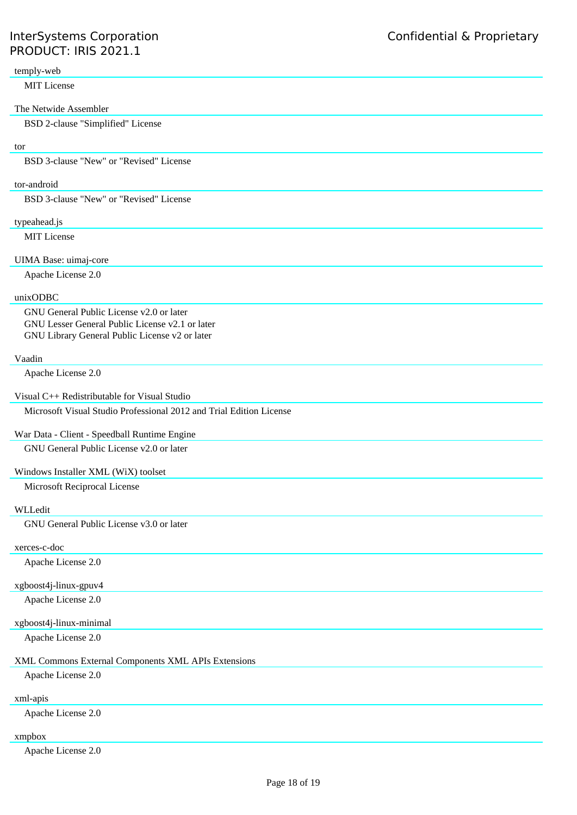## temply-web

MIT License

#### The Netwide Assembler

BSD 2-clause "Simplified" License

## tor

BSD 3-clause "New" or "Revised" License

#### tor-android

BSD 3-clause "New" or "Revised" License

## typeahead.js

MIT License

#### UIMA Base: uimaj-core

Apache License 2.0

#### unixODBC

GNU General Public License v2.0 or later GNU Lesser General Public License v2.1 or later GNU Library General Public License v2 or later

## Vaadin

Apache License 2.0

#### Visual C++ Redistributable for Visual Studio

Microsoft Visual Studio Professional 2012 and Trial Edition License

#### War Data - Client - Speedball Runtime Engine

GNU General Public License v2.0 or later

## Windows Installer XML (WiX) toolset

Microsoft Reciprocal License

#### WLLedit

GNU General Public License v3.0 or later

#### xerces-c-doc

Apache License 2.0

# xgboost4j-linux-gpuv4

Apache License 2.0

## xgboost4j-linux-minimal

Apache License 2.0

# XML Commons External Components XML APIs Extensions

Apache License 2.0

# xml-apis

Apache License 2.0

# xmpbox